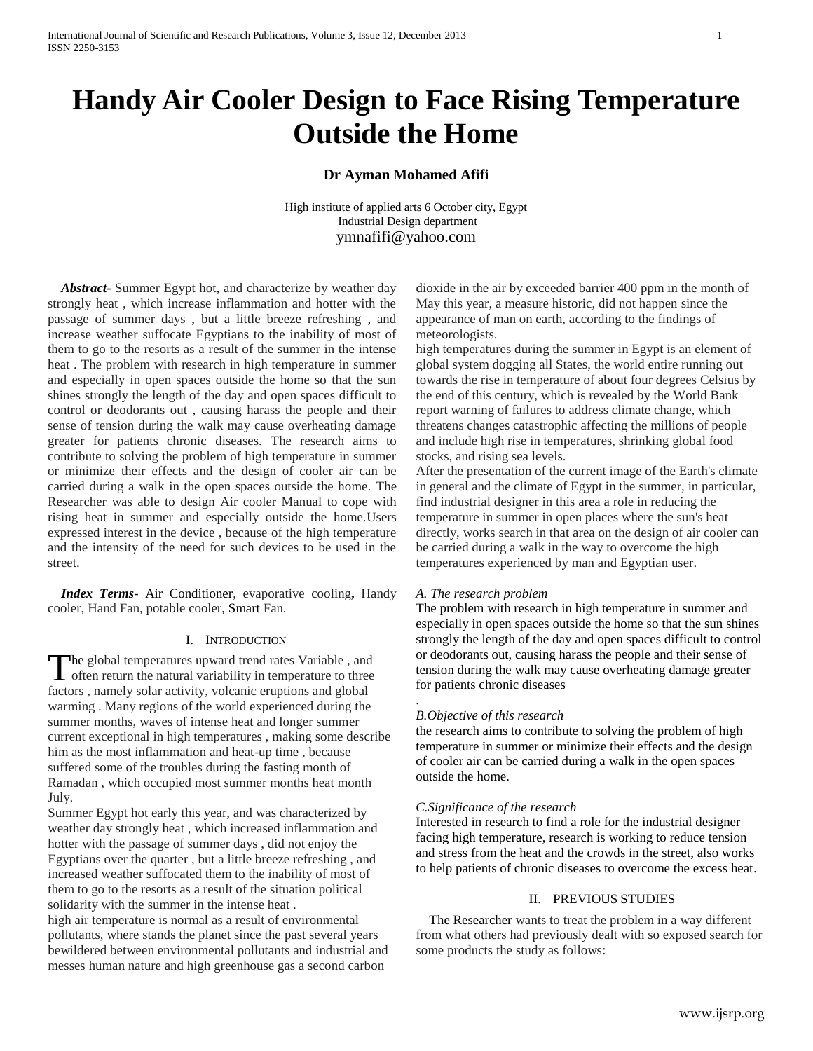# **Handy Air Cooler Design to Face Rising Temperature Outside the Home**

## **Dr Ayman Mohamed Afifi**

High institute of applied arts 6 October city, Egypt Industrial Design department [ymnafifi@yahoo.com](mailto:ymnafifi@yahoo.com)

 *Abstract***-** Summer Egypt hot, and characterize by weather day strongly heat , which increase inflammation and hotter with the passage of summer days , but a little breeze refreshing , and increase weather suffocate Egyptians to the inability of most of them to go to the resorts as a result of the summer in the intense heat . The problem with research in high temperature in summer and especially in open spaces outside the home so that the sun shines strongly the length of the day and open spaces difficult to control or deodorants out , causing harass the people and their sense of tension during the walk may cause overheating damage greater for patients chronic diseases. The research aims to contribute to solving the problem of high temperature in summer or minimize their effects and the design of cooler air can be carried during a walk in the open spaces outside the home. The Researcher was able to design Air cooler Manual to cope with rising heat in summer and especially outside the home.Users expressed interest in the device , because of the high temperature and the intensity of the need for such devices to be used in the street.

 *Index Terms*- Air Conditioner, evaporative cooling**,** Handy cooler, Hand Fan, potable cooler, Smart Fan.

### I. INTRODUCTION

The global temperatures upward trend rates Variable, and The global temperatures upward trend rates Variable, and<br>often return the natural variability in temperature to three factors , namely solar activity, volcanic eruptions and global warming . Many regions of the world experienced during the summer months, waves of intense heat and longer summer current exceptional in high temperatures , making some describe him as the most inflammation and heat-up time , because suffered some of the troubles during the fasting month of Ramadan , which occupied most summer months heat month July.

Summer Egypt hot early this year, and was characterized by weather day strongly heat , which increased inflammation and hotter with the passage of summer days , did not enjoy the Egyptians over the quarter , but a little breeze refreshing , and increased weather suffocated them to the inability of most of them to go to the resorts as a result of the situation political solidarity with the summer in the intense heat .

high air temperature is normal as a result of environmental pollutants, where stands the planet since the past several years bewildered between environmental pollutants and industrial and messes human nature and high greenhouse gas a second carbon

dioxide in the air by exceeded barrier 400 ppm in the month of May this year, a measure historic, did not happen since the appearance of man on earth, according to the findings of meteorologists.

high temperatures during the summer in Egypt is an element of global system dogging all States, the world entire running out towards the rise in temperature of about four degrees Celsius by the end of this century, which is revealed by the World Bank report warning of failures to address climate change, which threatens changes catastrophic affecting the millions of people and include high rise in temperatures, shrinking global food stocks, and rising sea levels.

After the presentation of the current image of the Earth's climate in general and the climate of Egypt in the summer, in particular, find industrial designer in this area a role in reducing the temperature in summer in open places where the sun's heat directly, works search in that area on the design of air cooler can be carried during a walk in the way to overcome the high temperatures experienced by man and Egyptian user.

### *A. The research problem*

The problem with research in high temperature in summer and especially in open spaces outside the home so that the sun shines strongly the length of the day and open spaces difficult to control or deodorants out, causing harass the people and their sense of tension during the walk may cause overheating damage greater for patients chronic diseases

### *B.Objective of this research*

.

the research aims to contribute to solving the problem of high temperature in summer or minimize their effects and the design of cooler air can be carried during a walk in the open spaces outside the home.

### *C.Significance of the research*

Interested in research to find a role for the industrial designer facing high temperature, research is working to reduce tension and stress from the heat and the crowds in the street, also works to help patients of chronic diseases to overcome the excess heat.

### II. PREVIOUS STUDIES

 The Researcher wants to treat the problem in a way different from what others had previously dealt with so exposed search for some products the study as follows: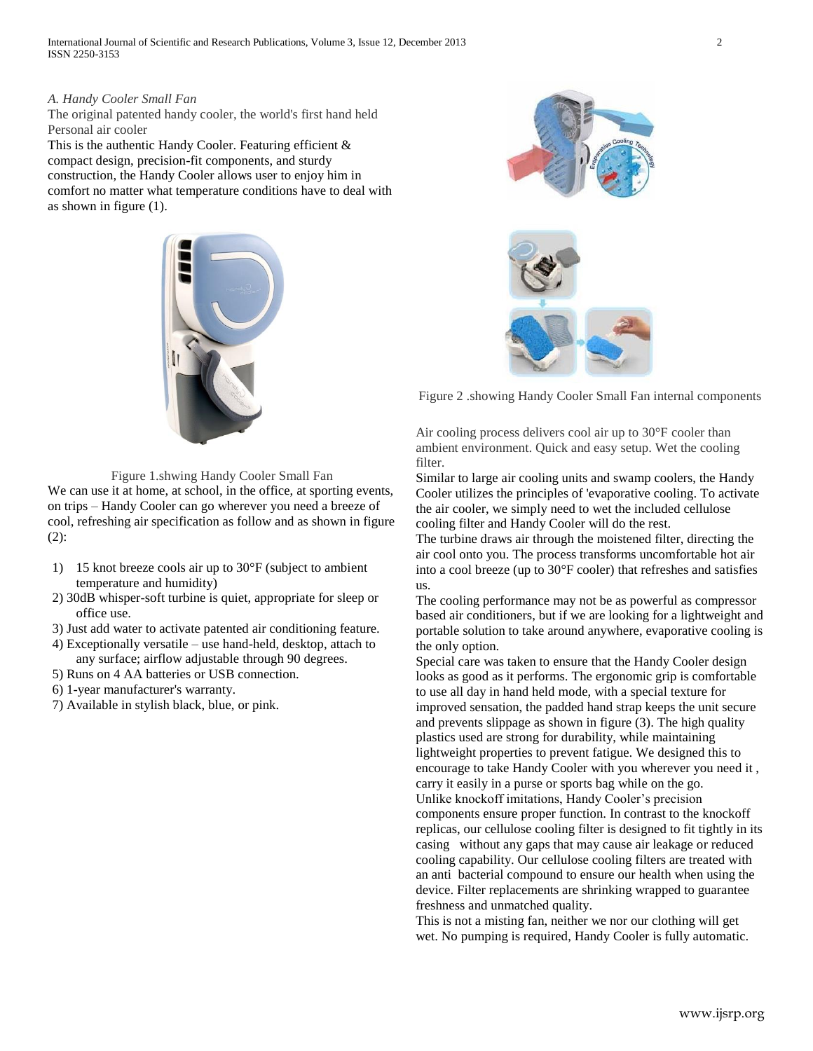International Journal of Scientific and Research Publications, Volume 3, Issue 12, December 2013 2 ISSN 2250-3153

### *A. Handy Cooler Small Fan*

The original patented handy cooler, the world's first hand held Personal air cooler

This is the authentic Handy Cooler. Featuring efficient & compact design, precision-fit components, and sturdy construction, the Handy Cooler allows user to enjoy him in comfort no matter what temperature conditions have to deal with as shown in figure (1).



Figure 2 .showing Handy Cooler Small Fan internal components

Air cooling process delivers cool air up to 30°F cooler than ambient environment. Quick and easy setup. Wet the cooling filter.

Similar to large air cooling units and swamp coolers, the Handy Cooler utilizes the principles of 'evaporative cooling. To activate the air cooler, we simply need to wet the included cellulose cooling filter and Handy Cooler will do the rest.

The turbine draws air through the moistened filter, directing the air cool onto you. The process transforms uncomfortable hot air into a cool breeze (up to 30°F cooler) that refreshes and satisfies us.

The cooling performance may not be as powerful as compressor based air conditioners, but if we are looking for a lightweight and portable solution to take around anywhere, evaporative cooling is the only option.

Special care was taken to ensure that the Handy Cooler design looks as good as it performs. The ergonomic grip is comfortable to use all day in hand held mode, with a special texture for improved sensation, the padded hand strap keeps the unit secure and prevents slippage as shown in figure (3). The high quality plastics used are strong for durability, while maintaining lightweight properties to prevent fatigue. We designed this to encourage to take Handy Cooler with you wherever you need it , carry it easily in a purse or sports bag while on the go. Unlike knockoff imitations, Handy Cooler's precision components ensure proper function. In contrast to the knockoff replicas, our cellulose cooling filter is designed to fit tightly in its casing without any gaps that may cause air leakage or reduced cooling capability. Our cellulose cooling filters are treated with an anti bacterial compound to ensure our health when using the device. Filter replacements are shrinking wrapped to guarantee freshness and unmatched quality.

This is not a misting fan, neither we nor our clothing will get wet. No pumping is required, Handy Cooler is fully automatic.

Figure 1.shwing Handy Cooler Small Fan We can use it at home, at school, in the office, at sporting events,

on trips – Handy Cooler can go wherever you need a breeze of cool, refreshing air specification as follow and as shown in figure (2):

- 1) 15 knot breeze cools air up to 30°F (subject to ambient temperature and humidity)
- 2) 30dB whisper-soft turbine is quiet, appropriate for sleep or office use.
- 3) Just add water to activate patented air conditioning feature.
- 4) Exceptionally versatile use hand-held, desktop, attach to any surface; airflow adjustable through 90 degrees.
- 5) Runs on 4 AA batteries or USB connection.
- 6) 1-year manufacturer's warranty.
- 7) Available in stylish black, blue, or pink.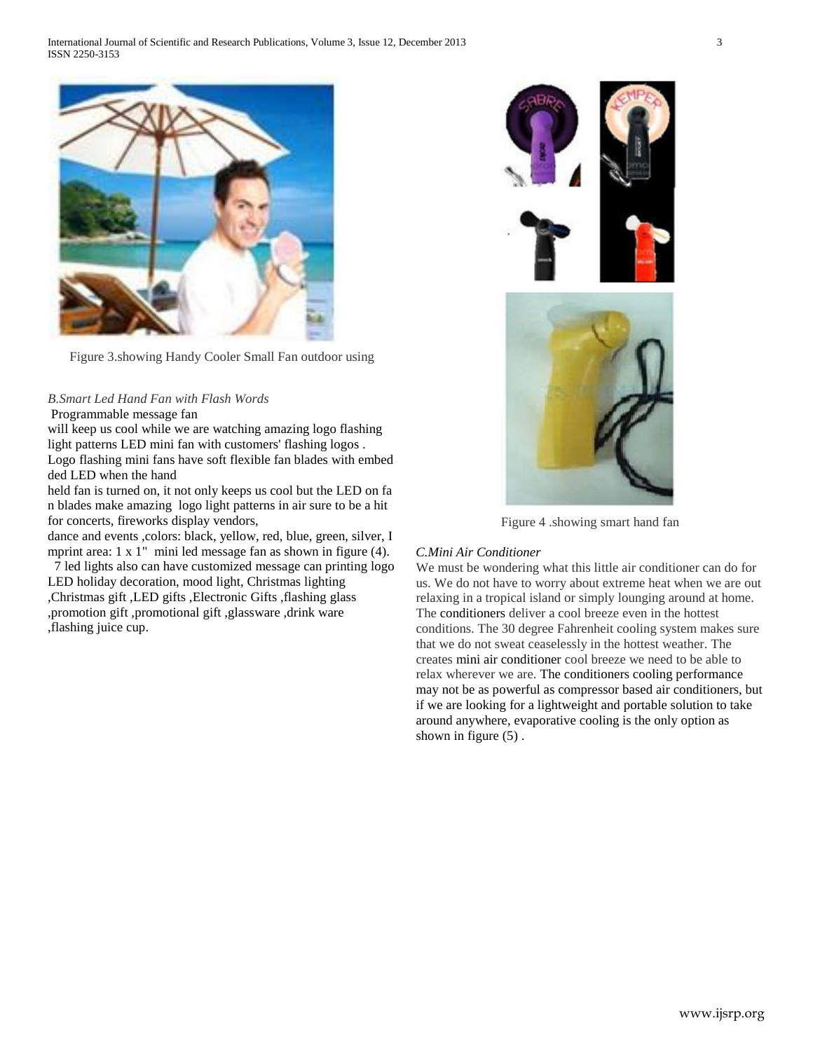

Figure 3.showing Handy Cooler Small Fan outdoor using

# *B.Smart Led Hand Fan with Flash Words*

Programmable message fan

will keep us cool while we are watching amazing logo flashing light patterns LED mini fan with customers' flashing logos . Logo flashing mini fans have soft flexible fan blades with embed ded LED when the hand

held fan is turned on, it not only keeps us cool but the LED on fa n blades make amazing logo light patterns in air sure to be a hit for concerts, fireworks display vendors,

dance and events ,colors: black, yellow, red, blue, green, silver, I mprint area: 1 x 1" mini led message fan as shown in figure (4).

7 led lights also can have customized message can printing logo LED holiday decoration, mood light, Christmas lighting ,Christmas gift ,LED gifts ,Electronic Gifts ,flashing glass ,promotion gift ,promotional gift ,glassware ,drink ware ,flashing juice cup.



Figure 4 .showing smart hand fan

### *C.Mini Air Conditioner*

We must be wondering what this little air conditioner can do for us. We do not have to worry about extreme heat when we are out relaxing in a tropical island or simply lounging around at home. The conditioners deliver a cool breeze even in the hottest conditions. The 30 degree Fahrenheit cooling system makes sure that we do not sweat ceaselessly in the hottest weather. The creates mini air conditioner cool breeze we need to be able to relax wherever we are. The conditioners cooling performance may not be as powerful as compressor based air conditioners, but if we are looking for a lightweight and portable solution to take around anywhere, evaporative cooling is the only option as shown in figure  $(5)$ .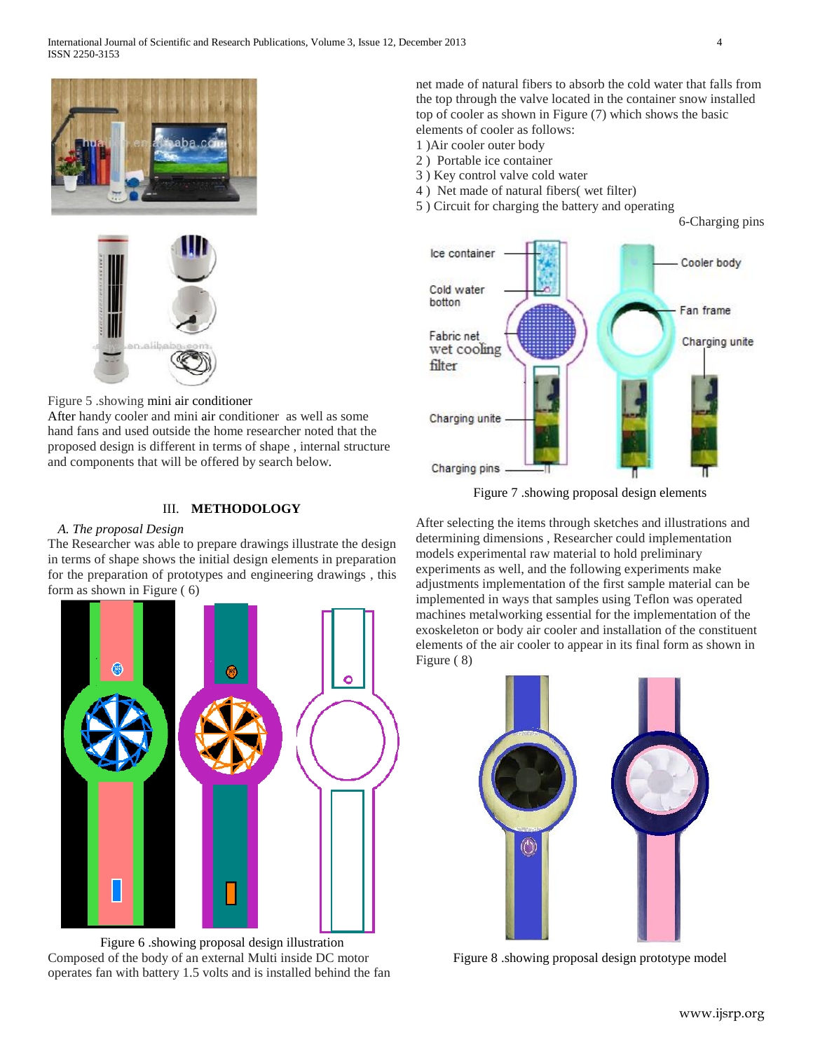



Figure 5 .showing mini air conditioner After handy cooler and mini air conditioner as well as some hand fans and used outside the home researcher noted that the proposed design is different in terms of shape , internal structure and components that will be offered by search below.

### III. **METHODOLOGY**

### *A. The proposal Design*

The Researcher was able to prepare drawings illustrate the design in terms of shape shows the initial design elements in preparation for the preparation of prototypes and engineering drawings , this form as shown in Figure ( 6)



Figure 6 .showing proposal design illustration Composed of the body of an external Multi inside DC motor operates fan with battery 1.5 volts and is installed behind the fan net made of natural fibers to absorb the cold water that falls from the top through the valve located in the container snow installed top of cooler as shown in Figure (7) which shows the basic elements of cooler as follows:

- 1 )Air cooler outer body
- 2 ) Portable ice container
- 3 ) Key control valve cold water
- 4 ) Net made of natural fibers( wet filter)
- 5 ) Circuit for charging the battery and operating

6-Charging pins



Figure 7 .showing proposal design elements

After selecting the items through sketches and illustrations and determining dimensions , Researcher could implementation models experimental raw material to hold preliminary experiments as well, and the following experiments make adjustments implementation of the first sample material can be implemented in ways that samples using Teflon was operated machines metalworking essential for the implementation of the exoskeleton or body air cooler and installation of the constituent elements of the air cooler to appear in its final form as shown in Figure ( 8)



Figure 8 .showing proposal design prototype model